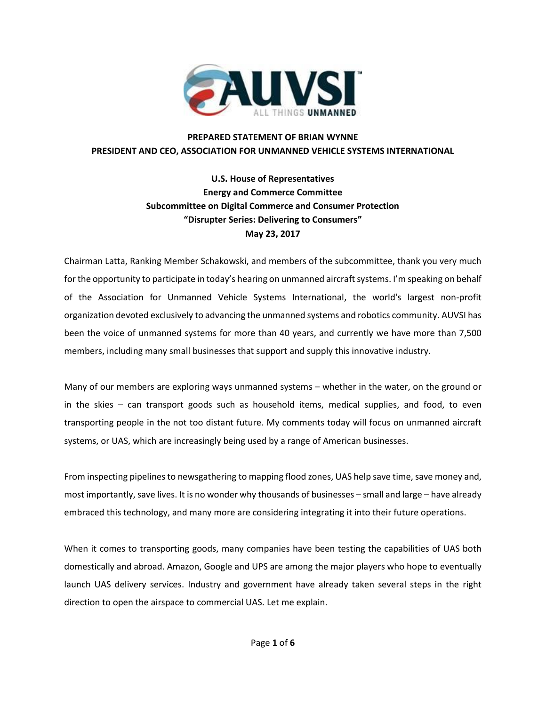

## **PREPARED STATEMENT OF BRIAN WYNNE PRESIDENT AND CEO, ASSOCIATION FOR UNMANNED VEHICLE SYSTEMS INTERNATIONAL**

## **U.S. House of Representatives Energy and Commerce Committee Subcommittee on Digital Commerce and Consumer Protection "Disrupter Series: Delivering to Consumers" May 23, 2017**

Chairman Latta, Ranking Member Schakowski, and members of the subcommittee, thank you very much for the opportunity to participate in today's hearing on unmanned aircraft systems. I'm speaking on behalf of the Association for Unmanned Vehicle Systems International, the world's largest non-profit organization devoted exclusively to advancing the unmanned systems and robotics community. AUVSI has been the voice of unmanned systems for more than 40 years, and currently we have more than 7,500 members, including many small businesses that support and supply this innovative industry.

Many of our members are exploring ways unmanned systems – whether in the water, on the ground or in the skies – can transport goods such as household items, medical supplies, and food, to even transporting people in the not too distant future. My comments today will focus on unmanned aircraft systems, or UAS, which are increasingly being used by a range of American businesses.

From inspecting pipelines to newsgathering to mapping flood zones, UAS help save time, save money and, most importantly, save lives. It is no wonder why thousands of businesses – small and large – have already embraced this technology, and many more are considering integrating it into their future operations.

When it comes to transporting goods, many companies have been testing the capabilities of UAS both domestically and abroad. Amazon, Google and UPS are among the major players who hope to eventually launch UAS delivery services. Industry and government have already taken several steps in the right direction to open the airspace to commercial UAS. Let me explain.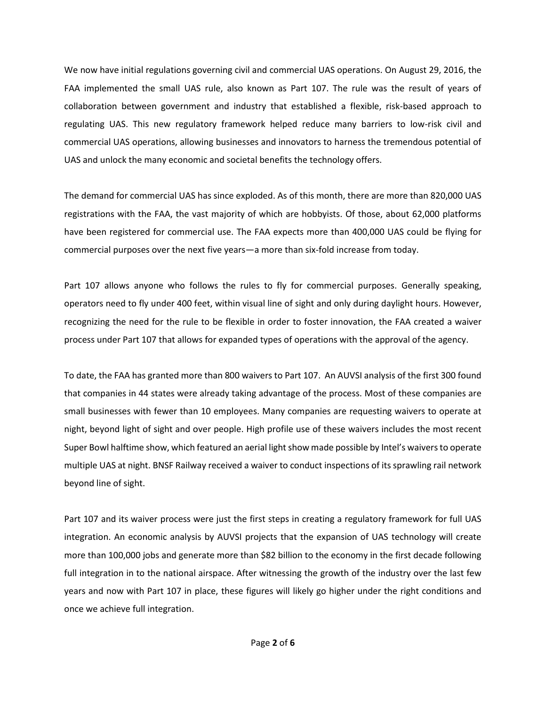We now have initial regulations governing civil and commercial UAS operations. On August 29, 2016, the FAA implemented the small UAS rule, also known as Part 107. The rule was the result of years of collaboration between government and industry that established a flexible, risk-based approach to regulating UAS. This new regulatory framework helped reduce many barriers to low-risk civil and commercial UAS operations, allowing businesses and innovators to harness the tremendous potential of UAS and unlock the many economic and societal benefits the technology offers.

The demand for commercial UAS has since exploded. As of this month, there are more than 820,000 UAS registrations with the FAA, the vast majority of which are hobbyists. Of those, about 62,000 platforms have been registered for commercial use. The FAA expects more than 400,000 UAS could be flying for commercial purposes over the next five years—a more than six-fold increase from today.

Part 107 allows anyone who follows the rules to fly for commercial purposes. Generally speaking, operators need to fly under 400 feet, within visual line of sight and only during daylight hours. However, recognizing the need for the rule to be flexible in order to foster innovation, the FAA created a waiver process under Part 107 that allows for expanded types of operations with the approval of the agency.

To date, the FAA has granted more than 800 waivers to Part 107. An AUVSI analysis of the first 300 found that companies in 44 states were already taking advantage of the process. Most of these companies are small businesses with fewer than 10 employees. Many companies are requesting waivers to operate at night, beyond light of sight and over people. High profile use of these waivers includes the most recent Super Bowl halftime show, which featured an aerial light show made possible by Intel's waivers to operate multiple UAS at night. BNSF Railway received a waiver to conduct inspections of its sprawling rail network beyond line of sight.

Part 107 and its waiver process were just the first steps in creating a regulatory framework for full UAS integration. An economic analysis by AUVSI projects that the expansion of UAS technology will create more than 100,000 jobs and generate more than \$82 billion to the economy in the first decade following full integration in to the national airspace. After witnessing the growth of the industry over the last few years and now with Part 107 in place, these figures will likely go higher under the right conditions and once we achieve full integration.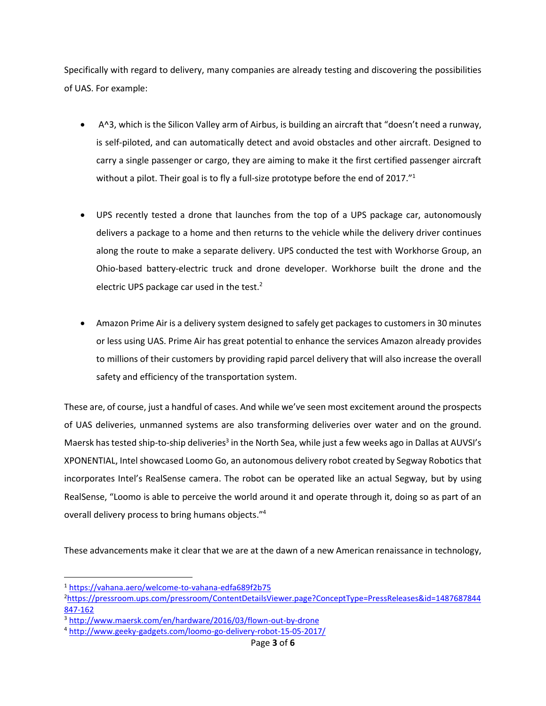Specifically with regard to delivery, many companies are already testing and discovering the possibilities of UAS. For example:

- A^3, which is the Silicon Valley arm of Airbus, is building an aircraft that "doesn't need a runway, is self-piloted, and can automatically detect and avoid obstacles and other aircraft. Designed to carry a single passenger or cargo, they are aiming to make it the first certified passenger aircraft without a pilot. Their goal is to fly a full-size prototype before the end of 2017."<sup>1</sup>
- UPS recently tested a drone that launches from the top of a UPS package car, autonomously delivers a package to a home and then returns to the vehicle while the delivery driver continues along the route to make a separate delivery. UPS conducted the test with Workhorse Group, an Ohio-based battery-electric truck and drone developer. Workhorse built the drone and the electric UPS package car used in the test. $2$
- Amazon Prime Air is a delivery system designed to safely get packages to customers in 30 minutes or less using UAS. Prime Air has great potential to enhance the services Amazon already provides to millions of their customers by providing rapid parcel delivery that will also increase the overall safety and efficiency of the transportation system.

These are, of course, just a handful of cases. And while we've seen most excitement around the prospects of UAS deliveries, unmanned systems are also transforming deliveries over water and on the ground. Maersk has tested ship-to-ship deliveries<sup>3</sup> in the North Sea, while just a few weeks ago in Dallas at AUVSI's XPONENTIAL, Intel showcased Loomo Go, an autonomous delivery robot created by Segway Robotics that incorporates Intel's RealSense camera. The robot can be operated like an actual Segway, but by using RealSense, "Loomo is able to perceive the world around it and operate through it, doing so as part of an overall delivery process to bring humans objects." 4

These advancements make it clear that we are at the dawn of a new American renaissance in technology,

 $\overline{\phantom{a}}$ 

<sup>1</sup> <https://vahana.aero/welcome-to-vahana-edfa689f2b75>

<sup>2</sup>[https://pressroom.ups.com/pressroom/ContentDetailsViewer.page?ConceptType=PressReleases&id=1487687844](https://pressroom.ups.com/pressroom/ContentDetailsViewer.page?ConceptType=PressReleases&id=1487687844847-162) [847-162](https://pressroom.ups.com/pressroom/ContentDetailsViewer.page?ConceptType=PressReleases&id=1487687844847-162)

<sup>3</sup> <http://www.maersk.com/en/hardware/2016/03/flown-out-by-drone>

<sup>4</sup> <http://www.geeky-gadgets.com/loomo-go-delivery-robot-15-05-2017/>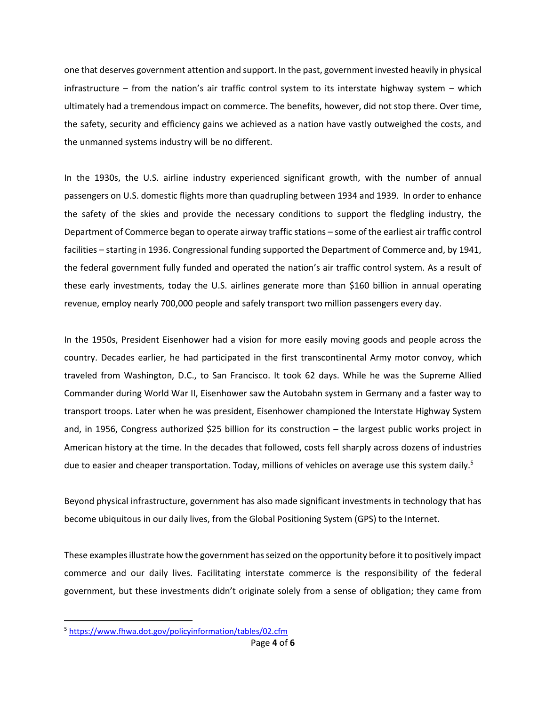one that deserves government attention and support. In the past, government invested heavily in physical infrastructure – from the nation's air traffic control system to its interstate highway system – which ultimately had a tremendous impact on commerce. The benefits, however, did not stop there. Over time, the safety, security and efficiency gains we achieved as a nation have vastly outweighed the costs, and the unmanned systems industry will be no different.

In the 1930s, the U.S. airline industry experienced significant growth, with the number of annual passengers on U.S. domestic flights more than quadrupling between 1934 and 1939. In order to enhance the safety of the skies and provide the necessary conditions to support the fledgling industry, the Department of Commerce began to operate airway traffic stations – some of the earliest air traffic control facilities – starting in 1936. Congressional funding supported the Department of Commerce and, by 1941, the federal government fully funded and operated the nation's air traffic control system. As a result of these early investments, today the U.S. airlines generate more than \$160 billion in annual operating revenue, employ nearly 700,000 people and safely transport two million passengers every day.

In the 1950s, President Eisenhower had a vision for more easily moving goods and people across the country. Decades earlier, he had participated in the first transcontinental Army motor convoy, which traveled from Washington, D.C., to San Francisco. It took 62 days. While he was the Supreme Allied Commander during World War II, Eisenhower saw the Autobahn system in Germany and a faster way to transport troops. Later when he was president, Eisenhower championed the Interstate Highway System and, in 1956, Congress authorized \$25 billion for its construction – the largest public works project in American history at the time. In the decades that followed, costs fell sharply across dozens of industries due to easier and cheaper transportation. Today, millions of vehicles on average use this system daily.<sup>5</sup>

Beyond physical infrastructure, government has also made significant investments in technology that has become ubiquitous in our daily lives, from the Global Positioning System (GPS) to the Internet.

These examples illustrate how the government has seized on the opportunity before it to positively impact commerce and our daily lives. Facilitating interstate commerce is the responsibility of the federal government, but these investments didn't originate solely from a sense of obligation; they came from

 $\overline{\phantom{a}}$ 

<sup>5</sup> <https://www.fhwa.dot.gov/policyinformation/tables/02.cfm>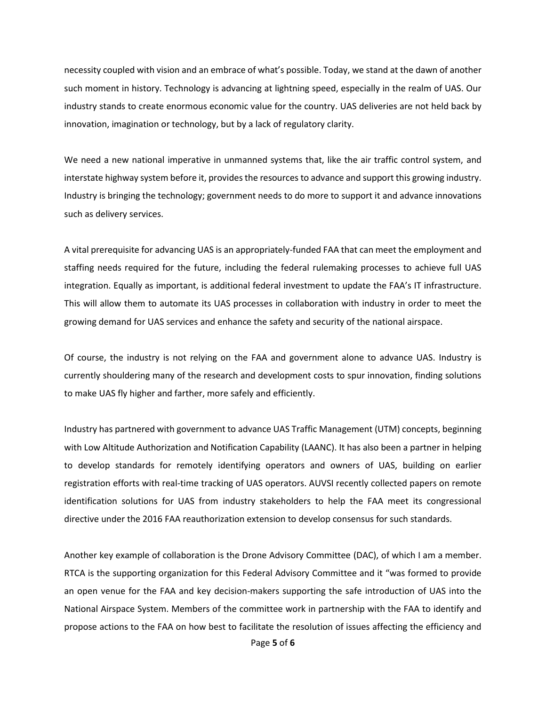necessity coupled with vision and an embrace of what's possible. Today, we stand at the dawn of another such moment in history. Technology is advancing at lightning speed, especially in the realm of UAS. Our industry stands to create enormous economic value for the country. UAS deliveries are not held back by innovation, imagination or technology, but by a lack of regulatory clarity.

We need a new national imperative in unmanned systems that, like the air traffic control system, and interstate highway system before it, provides the resources to advance and support this growing industry. Industry is bringing the technology; government needs to do more to support it and advance innovations such as delivery services.

A vital prerequisite for advancing UAS is an appropriately-funded FAA that can meet the employment and staffing needs required for the future, including the federal rulemaking processes to achieve full UAS integration. Equally as important, is additional federal investment to update the FAA's IT infrastructure. This will allow them to automate its UAS processes in collaboration with industry in order to meet the growing demand for UAS services and enhance the safety and security of the national airspace.

Of course, the industry is not relying on the FAA and government alone to advance UAS. Industry is currently shouldering many of the research and development costs to spur innovation, finding solutions to make UAS fly higher and farther, more safely and efficiently.

Industry has partnered with government to advance UAS Traffic Management (UTM) concepts, beginning with Low Altitude Authorization and Notification Capability (LAANC). It has also been a partner in helping to develop standards for remotely identifying operators and owners of UAS, building on earlier registration efforts with real-time tracking of UAS operators. AUVSI recently collected papers on remote identification solutions for UAS from industry stakeholders to help the FAA meet its congressional directive under the 2016 FAA reauthorization extension to develop consensus for such standards.

Another key example of collaboration is the Drone Advisory Committee (DAC), of which I am a member. RTCA is the supporting organization for this Federal Advisory Committee and it "was formed to provide an open venue for the FAA and key decision-makers supporting the safe introduction of UAS into the National Airspace System. Members of the committee work in partnership with the FAA to identify and propose actions to the FAA on how best to facilitate the resolution of issues affecting the efficiency and